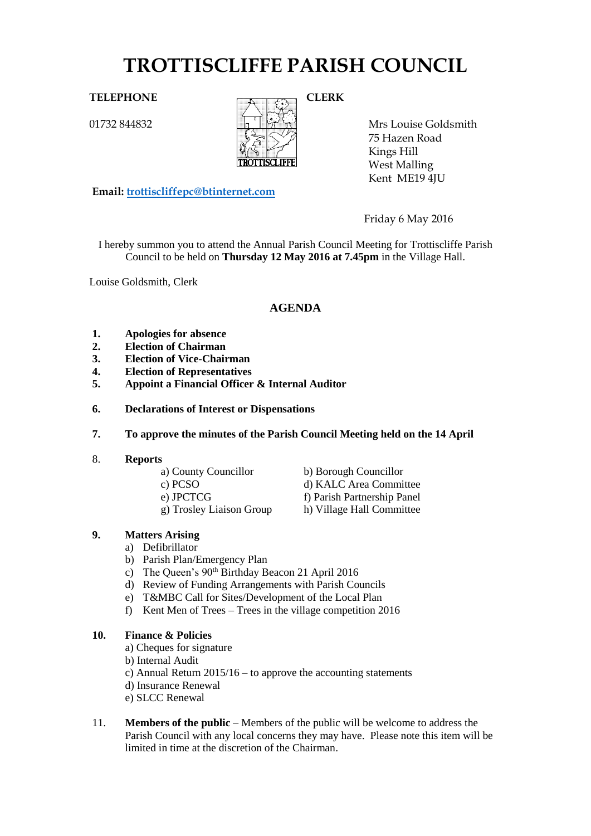# **TROTTISCLIFFE PARISH COUNCIL**

01732 844832



Mrs Louise Goldsmith 75 Hazen Road Kings Hill West Malling Kent ME19 4JU

**Email: [trottiscliffepc@btinternet.com](mailto:trottiscliffepc@btinternet.com)**

Friday 6 May 2016

I hereby summon you to attend the Annual Parish Council Meeting for Trottiscliffe Parish Council to be held on **Thursday 12 May 2016 at 7.45pm** in the Village Hall.

Louise Goldsmith, Clerk

## **AGENDA**

- **1. Apologies for absence**
- **2. Election of Chairman**
- **3. Election of Vice-Chairman**
- **4. Election of Representatives**
- **5. Appoint a Financial Officer & Internal Auditor**
- **6. Declarations of Interest or Dispensations**
- **7. To approve the minutes of the Parish Council Meeting held on the 14 April**
- 8. **Reports**
	- a) County Councillor b) Borough Councillor
	-
	-
	- g) Trosley Liaison Group h) Village Hall Committee
	- c) PCSO d) KALC Area Committee e) JPCTCG f) Parish Partnership Panel
		-

#### **9. Matters Arising**

- a) Defibrillator
- b) Parish Plan/Emergency Plan
- c) The Queen's 90th Birthday Beacon 21 April 2016
- d) Review of Funding Arrangements with Parish Councils
- e) T&MBC Call for Sites/Development of the Local Plan
- f) Kent Men of Trees Trees in the village competition 2016

#### **10. Finance & Policies**

- a) Cheques for signature
- b) Internal Audit
- c) Annual Return 2015/16 to approve the accounting statements
- d) Insurance Renewal
- e) SLCC Renewal
- 11. **Members of the public** Members of the public will be welcome to address the Parish Council with any local concerns they may have. Please note this item will be limited in time at the discretion of the Chairman.